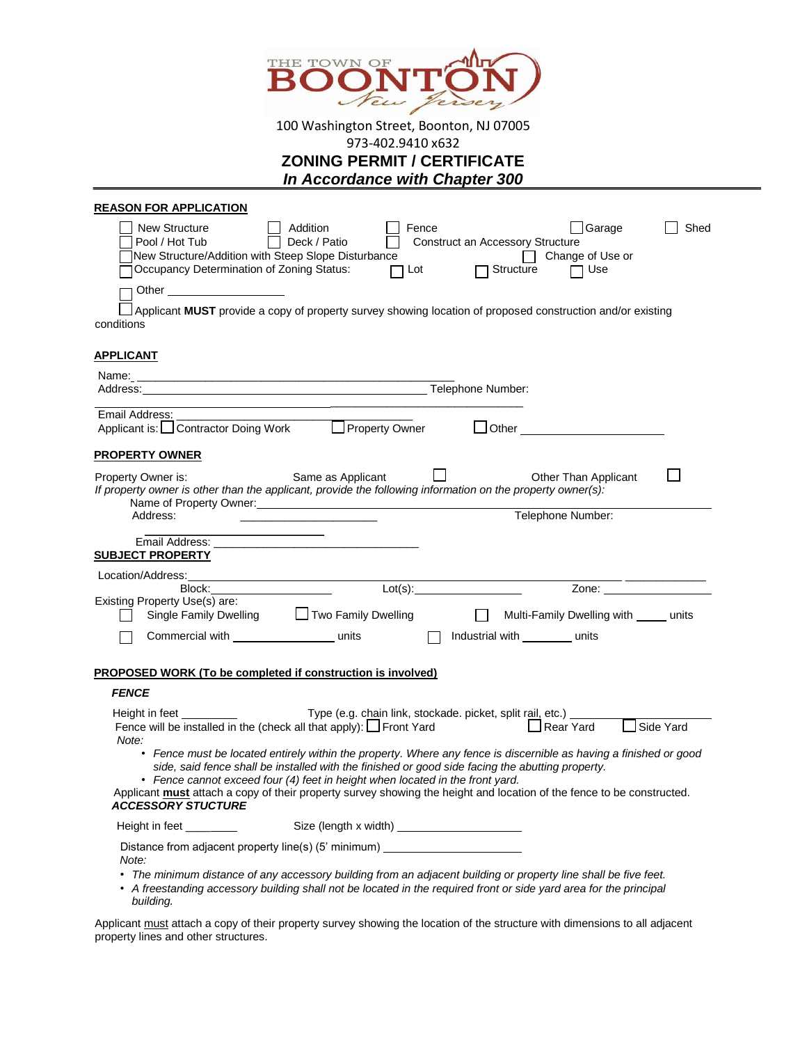

100 Washington Street, Boonton, NJ 07005

973-402.9410 x632

|  | <b>ZONING PERMIT / CERTIFICATE</b> |  |  |
|--|------------------------------------|--|--|
|--|------------------------------------|--|--|

*In Accordance with Chapter 300*

| <b>REASON FOR APPLICATION</b>     |                                                                                                                                                                                                                                                                                                        |                                                                 |        |                                                      |                                                                                                                                                                                                                                      |             |
|-----------------------------------|--------------------------------------------------------------------------------------------------------------------------------------------------------------------------------------------------------------------------------------------------------------------------------------------------------|-----------------------------------------------------------------|--------|------------------------------------------------------|--------------------------------------------------------------------------------------------------------------------------------------------------------------------------------------------------------------------------------------|-------------|
| New Structure<br>Pool / Hot Tub   | Addition<br>New Structure/Addition with Steep Slope Disturbance<br>Occupancy Determination of Zoning Status:                                                                                                                                                                                           | Deck / Patio<br>$\Box$ Lot                                      | Fence  | <b>Construct an Accessory Structure</b><br>Structure | Garage<br>□ Change of Use or<br>□ Use                                                                                                                                                                                                | Shed        |
|                                   | Other ________________________                                                                                                                                                                                                                                                                         |                                                                 |        |                                                      |                                                                                                                                                                                                                                      |             |
| conditions                        | Applicant MUST provide a copy of property survey showing location of proposed construction and/or existing                                                                                                                                                                                             |                                                                 |        |                                                      |                                                                                                                                                                                                                                      |             |
| <b>APPLICANT</b>                  |                                                                                                                                                                                                                                                                                                        |                                                                 |        |                                                      |                                                                                                                                                                                                                                      |             |
|                                   |                                                                                                                                                                                                                                                                                                        |                                                                 |        |                                                      |                                                                                                                                                                                                                                      |             |
|                                   |                                                                                                                                                                                                                                                                                                        |                                                                 |        |                                                      |                                                                                                                                                                                                                                      |             |
| Email Address:                    |                                                                                                                                                                                                                                                                                                        |                                                                 |        |                                                      |                                                                                                                                                                                                                                      |             |
|                                   | Applicant is: □ Contractor Doing Work □ Property Owner                                                                                                                                                                                                                                                 |                                                                 |        |                                                      | <b>Definition of the Contract of the Contract of the Contract of the Contract of the Contract of the Contract of the Contract of the Contract of the Contract of the Contract of the Contract of the Contract of the Contract of</b> |             |
| <b>PROPERTY OWNER</b>             |                                                                                                                                                                                                                                                                                                        |                                                                 |        |                                                      |                                                                                                                                                                                                                                      |             |
| Property Owner is:                | If property owner is other than the applicant, provide the following information on the property owner(s):                                                                                                                                                                                             | Same as Applicant                                               |        |                                                      | Other Than Applicant                                                                                                                                                                                                                 |             |
| Address:                          |                                                                                                                                                                                                                                                                                                        |                                                                 |        |                                                      | Telephone Number:                                                                                                                                                                                                                    |             |
|                                   | Email Address: The Contract of the Contract of the Contract of the Contract of the Contract of the Contract of the Contract of the Contract of the Contract of the Contract of the Contract of the Contract of the Contract of                                                                         |                                                                 |        |                                                      |                                                                                                                                                                                                                                      |             |
| <b>SUBJECT PROPERTY</b>           |                                                                                                                                                                                                                                                                                                        |                                                                 |        |                                                      |                                                                                                                                                                                                                                      |             |
| Location/Address:                 |                                                                                                                                                                                                                                                                                                        |                                                                 |        |                                                      |                                                                                                                                                                                                                                      |             |
|                                   | Block:                                                                                                                                                                                                                                                                                                 | $Lot(s)$ :                                                      |        |                                                      |                                                                                                                                                                                                                                      |             |
| Existing Property Use(s) are:     | Single Family Dwelling □ □ Two Family Dwelling                                                                                                                                                                                                                                                         |                                                                 | $\Box$ |                                                      | Multi-Family Dwelling with _____ units                                                                                                                                                                                               |             |
|                                   | Commercial with _________________________ units                                                                                                                                                                                                                                                        |                                                                 | $\Box$ | Industrial with __________ units                     |                                                                                                                                                                                                                                      |             |
|                                   |                                                                                                                                                                                                                                                                                                        |                                                                 |        |                                                      |                                                                                                                                                                                                                                      |             |
|                                   | <b>PROPOSED WORK (To be completed if construction is involved)</b>                                                                                                                                                                                                                                     |                                                                 |        |                                                      |                                                                                                                                                                                                                                      |             |
| <b>FENCE</b>                      |                                                                                                                                                                                                                                                                                                        |                                                                 |        |                                                      |                                                                                                                                                                                                                                      |             |
| Height in feet _________<br>Note: | Fence will be installed in the (check all that apply): $\Box$ Front Yard                                                                                                                                                                                                                               | Type (e.g. chain link, stockade. picket, split rail, etc.) ____ |        | $\Box$ Rear Yard                                     |                                                                                                                                                                                                                                      | J Side Yard |
|                                   | • Fence must be located entirely within the property. Where any fence is discernible as having a finished or good<br>side, said fence shall be installed with the finished or good side facing the abutting property.<br>• Fence cannot exceed four (4) feet in height when located in the front yard. |                                                                 |        |                                                      |                                                                                                                                                                                                                                      |             |
|                                   | Applicant must attach a copy of their property survey showing the height and location of the fence to be constructed.<br><b>ACCESSORY STUCTURE</b>                                                                                                                                                     |                                                                 |        |                                                      |                                                                                                                                                                                                                                      |             |
| Height in feet _____              |                                                                                                                                                                                                                                                                                                        |                                                                 |        |                                                      |                                                                                                                                                                                                                                      |             |
| Note:                             | Distance from adjacent property line(s) (5' minimum) ___________________________                                                                                                                                                                                                                       |                                                                 |        |                                                      |                                                                                                                                                                                                                                      |             |
| building.                         | • The minimum distance of any accessory building from an adjacent building or property line shall be five feet.<br>• A freestanding accessory building shall not be located in the required front or side yard area for the principal                                                                  |                                                                 |        |                                                      |                                                                                                                                                                                                                                      |             |

Applicant must attach a copy of their property survey showing the location of the structure with dimensions to all adjacent property lines and other structures.